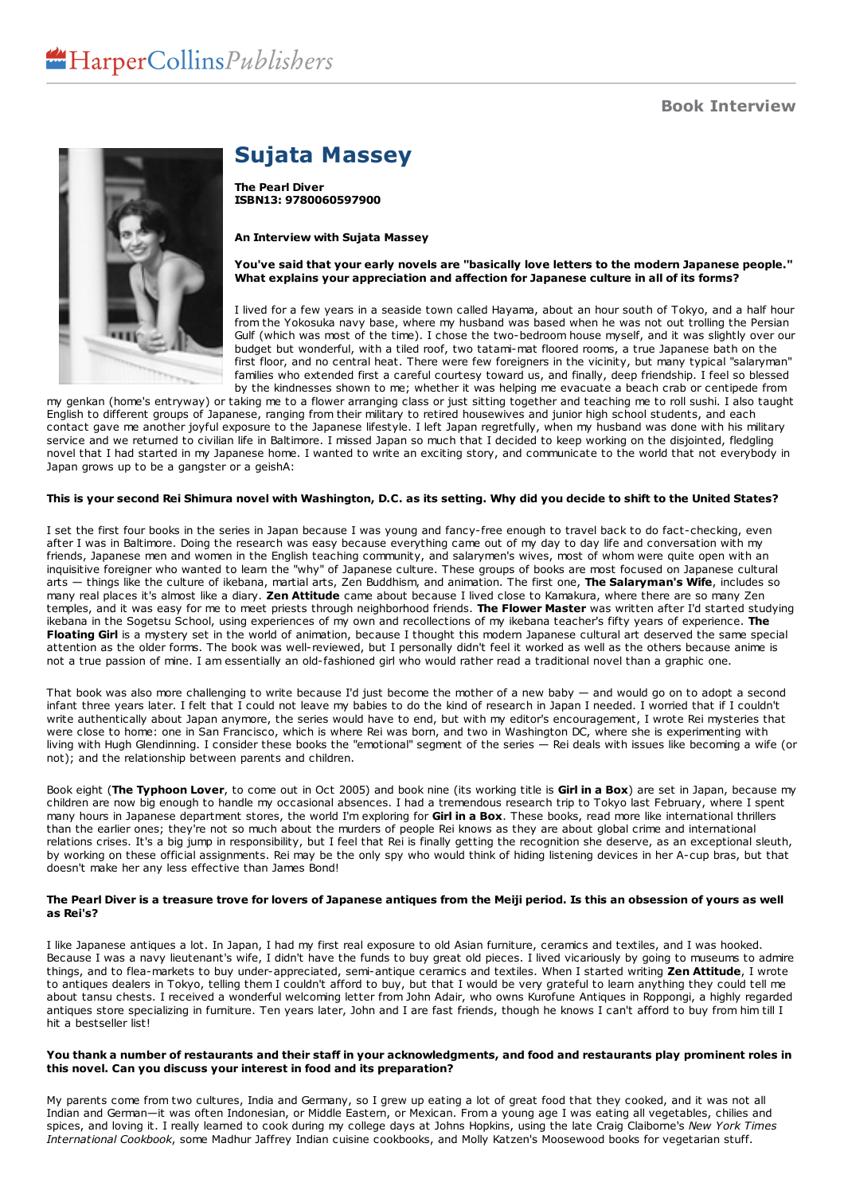

## **Sujata Massey**

**The Pearl Diver ISBN13: 9780060597900**

#### **An Interview with Sujata Massey**

# You've said that your early novels are "basically love letters to the modern Japanese people."<br>What explains your appreciation and affection for Japanese culture in all of its forms?

I lived for a few years in a seaside town called Hayama, about an hour south of Tokyo, and a half hour from the Yokosuka navy base, where my husband was based when he was not out trolling the Persian Gulf (which was most of the time). I chose the two-bedroom house myself, and it was slightly over our budget but wonderful, with a tiled roof, two tatami-mat floored rooms, a true Japanese bath on the first floor, and no central heat. There were few foreigners in the vicinity, but many typical "salaryman" families who extended first a careful courtesy toward us, and finally, deep friendship. I feel so blessed by the kindnesses shown to me; whether it was helping me evacuate a beach crab or centipede from

my genkan (home's entryway) or taking me to a flower arranging class or just sitting together and teaching me to roll sushi. I also taught English to different groups of Japanese, ranging from their military to retired housewives and junior high school students, and each contact gave me another joyful exposure to the Japanese lifestyle. I left Japan regretfully, when my husband was done with his military service and we returned to civilian life in Baltimore. I missed Japan so much that I decided to keep working on the disjointed, fledgling novel that I had started in my Japanese home. I wanted to write an exciting story, and communicate to the world that not everybody in Japan grows up to be a gangster or a geishA:

## This is your second Rei Shimura novel with Washington, D.C. as its setting. Why did you decide to shift to the United States?

I set the first four books in the series in Japan because I was young and fancy-free enough to travel back to do fact-checking, even after I was in Baltimore. Doing the research was easy because everything came out of my day to day life and conversation with my friends, Japanese men and women in the English teaching community, and salarymen's wives, most of whom were quite open with an inquisitive foreigner who wanted to learn the "why" of Japanese culture. These groups of books are most focused on Japanese cultural arts — things like the culture of ikebana, martial arts, Zen Buddhism, and animation. The first one, The Salaryman's Wife, includes so many real places it's almost like a diary. Zen Attitude came about because I lived clos temples, and it was easy for me to meet priests through neighborhood friends. **The Flower Master** was written after I'd started studying ikebana in the Sogetsu School, using experiences of my own and recollections of my ikebana teacher's fifty years of experience. **The Floating Girl** is a mystery set in the world of animation, because I thought this modern Japanese cultural art deserved the same special attention as the older forms. The book was well-reviewed, but I personally didn't feel it worked as well as the others because anime is not a true passion of mine. I am essentially an old-fashioned girl who would rather read a traditional novel than a graphic one.

That book was also more challenging to write because I'd just become the mother of a new baby — and would go on to adopt a second infant three years later. I felt that I could not leave my babies to do the kind of research in Japan I needed. I worried that if I couldn't write authentically about Japan anymore, the series would have to end, but with my editor's encouragement, I wrote Rei mysteries that were close to home: one in San Francisco, which is where Rei was born, and two in Washington DC, where she is experimenting with living with Hugh Glendinning. I consider these books the "emotional" segment of the series — Rei deals with issues like becoming a wife (or not); and the relationship between parents and children.

Book eight (**The Typhoon Lover**, to come out in Oct 2005) and book nine (its working title is **Girl in a Box**) are set in Japan, because my children are now big enough to handle my occasional absences. I had a tremendous research trip to Tokyo last February, where I spent many hours in Japanese department stores, the world I'm exploring for **Girl in a Box**. These books, read more like international thrillers than the earlier ones; they're not so much about the murders of people Rei knows as they are about global crime and international relations crises. It's a big jump in responsibility, but I feel that Rei is finally getting the recognition she deserve, as an exceptional sleuth, by working on these official assignments. Rei may be the only spy who would think of hiding listening devices in her A-cup bras, but that doesn't make her any less effective than James Bond!

#### The Pearl Diver is a treasure trove for lovers of Japanese antiques from the Meiji period. Is this an obsession of yours as well **as Rei's?**

I like Japanese antiques a lot. In Japan, I had my first real exposure to old Asian furniture, ceramics and textiles, and I was hooked. Because I was a navy lieutenant's wife, I didn't have the funds to buy great old pieces. I lived vicariously by going to museums to admire things, and to flea-markets to buy under-appreciated, semi-antique ceramics and textiles. When I started writing **Zen Attitude**, I wrote to antiques dealers in Tokyo, telling them I couldn't afford to buy, but that I would be very grateful to learn anything they could tell me about tansu chests. I received a wonderful welcoming letter from John Adair, who owns Kurofune Antiques in Roppongi, a highly regarded antiques store specializing in furniture. Ten years later, John and I are fast friends, though he knows I can't afford to buy from him till I hit a bestseller list!

#### You thank a number of restaurants and their staff in your acknowledgments, and food and restaurants play prominent roles in **this novel. Can you discuss your interest in food and its preparation?**

My parents come from two cultures, India and Germany, so I grew up eating a lot of great food that they cooked, and it was not all Indian and German—it was often Indonesian, or Middle Eastern, or Mexican. From a young age I was eating all vegetables, chilies and spices, and loving it. I really learned to cook during my college days at Johns Hopkins, using the late Craig Claiborne's *New York Times International Cookbook*, some Madhur Jaffrey Indian cuisine cookbooks, and Molly Katzen's Moosewood books for vegetarian stuff.